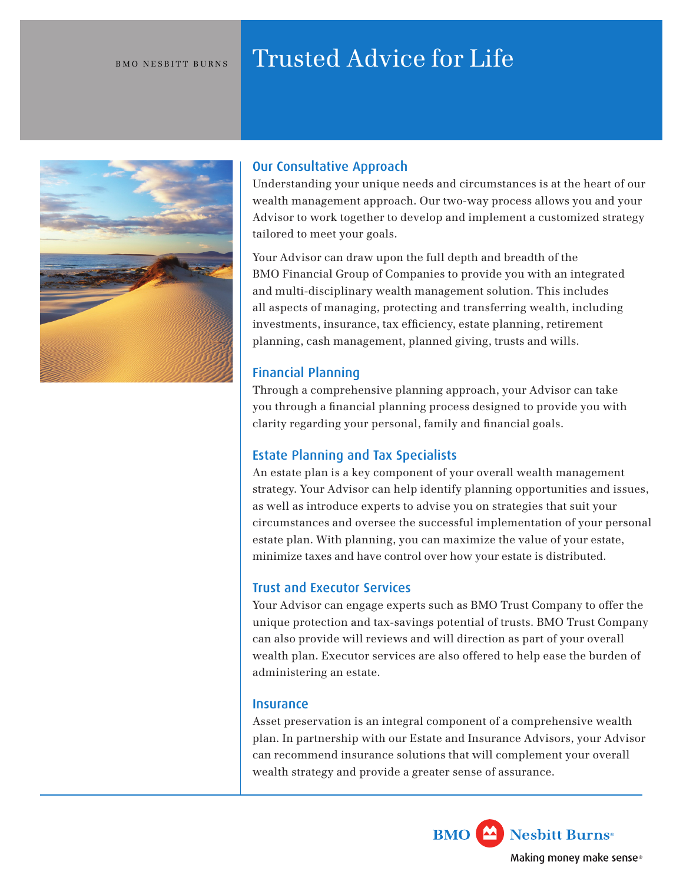# BMO NESBITT BURNS Trusted Advice for Life



# Our Consultative Approach

Understanding your unique needs and circumstances is at the heart of our wealth management approach. Our two-way process allows you and your Advisor to work together to develop and implement a customized strategy tailored to meet your goals.

Your Advisor can draw upon the full depth and breadth of the BMO Financial Group of Companies to provide you with an integrated and multi-disciplinary wealth management solution. This includes all aspects of managing, protecting and transferring wealth, including investments, insurance, tax efficiency, estate planning, retirement planning, cash management, planned giving, trusts and wills.

# Financial Planning

Through a comprehensive planning approach, your Advisor can take you through a financial planning process designed to provide you with clarity regarding your personal, family and financial goals.

# Estate Planning and Tax Specialists

An estate plan is a key component of your overall wealth management strategy. Your Advisor can help identify planning opportunities and issues, as well as introduce experts to advise you on strategies that suit your circumstances and oversee the successful implementation of your personal estate plan. With planning, you can maximize the value of your estate, minimize taxes and have control over how your estate is distributed.

# Trust and Executor Services

Your Advisor can engage experts such as BMO Trust Company to offer the unique protection and tax-savings potential of trusts. BMO Trust Company can also provide will reviews and will direction as part of your overall wealth plan. Executor services are also offered to help ease the burden of administering an estate.

### **Insurance**

Asset preservation is an integral component of a comprehensive wealth plan. In partnership with our Estate and Insurance Advisors, your Advisor can recommend insurance solutions that will complement your overall wealth strategy and provide a greater sense of assurance.

> Nesbitt Burns® **BMO** Making money make sense®